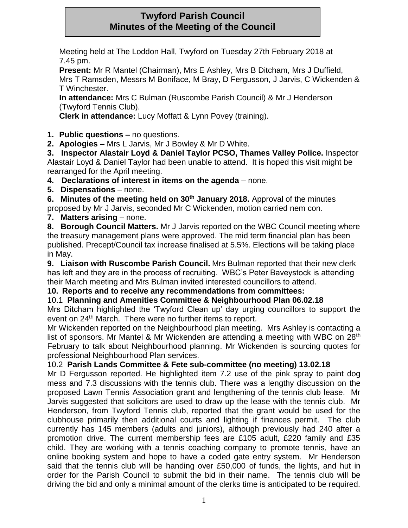# **Twyford Parish Council Minutes of the Meeting of the Council**

Meeting held at The Loddon Hall, Twyford on Tuesday 27th February 2018 at 7.45 pm.

**Present:** Mr R Mantel (Chairman), Mrs E Ashley, Mrs B Ditcham, Mrs J Duffield, Mrs T Ramsden, Messrs M Boniface, M Bray, D Fergusson, J Jarvis, C Wickenden & T Winchester.

**In attendance:** Mrs C Bulman (Ruscombe Parish Council) & Mr J Henderson (Twyford Tennis Club).

**Clerk in attendance:** Lucy Moffatt & Lynn Povey (training).

**1. Public questions –** no questions.

**2. Apologies –** Mrs L Jarvis, Mr J Bowley & Mr D White.

**3. Inspector Alastair Loyd & Daniel Taylor PCSO, Thames Valley Police.** Inspector Alastair Loyd & Daniel Taylor had been unable to attend. It is hoped this visit might be rearranged for the April meeting.

**4. Declarations of interest in items on the agenda** – none.

**5. Dispensations** – none.

**6. Minutes of the meeting held on 30th January 2018.** Approval of the minutes proposed by Mr J Jarvis, seconded Mr C Wickenden, motion carried nem con.

**7. Matters arising** – none.

**8. Borough Council Matters.** Mr J Jarvis reported on the WBC Council meeting where the treasury management plans were approved. The mid term financial plan has been published. Precept/Council tax increase finalised at 5.5%. Elections will be taking place in May.

**9. Liaison with Ruscombe Parish Council.** Mrs Bulman reported that their new clerk has left and they are in the process of recruiting. WBC's Peter Baveystock is attending their March meeting and Mrs Bulman invited interested councillors to attend.

## **10. Reports and to receive any recommendations from committees:**

## 10.1 **Planning and Amenities Committee & Neighbourhood Plan 06.02.18**

Mrs Ditcham highlighted the 'Twyford Clean up' day urging councillors to support the event on 24<sup>th</sup> March. There were no further items to report.

Mr Wickenden reported on the Neighbourhood plan meeting. Mrs Ashley is contacting a list of sponsors. Mr Mantel & Mr Wickenden are attending a meeting with WBC on 28<sup>th</sup> February to talk about Neighbourhood planning. Mr Wickenden is sourcing quotes for professional Neighbourhood Plan services.

## 10.2 **Parish Lands Committee & Fete sub-committee (no meeting) 13.02.18**

Mr D Fergusson reported. He highlighted item 7.2 use of the pink spray to paint dog mess and 7.3 discussions with the tennis club. There was a lengthy discussion on the proposed Lawn Tennis Association grant and lengthening of the tennis club lease. Mr Jarvis suggested that solicitors are used to draw up the lease with the tennis club. Mr Henderson, from Twyford Tennis club, reported that the grant would be used for the clubhouse primarily then additional courts and lighting if finances permit. The club currently has 145 members (adults and juniors), although previously had 240 after a promotion drive. The current membership fees are £105 adult, £220 family and £35 child. They are working with a tennis coaching company to promote tennis, have an online booking system and hope to have a coded gate entry system. Mr Henderson said that the tennis club will be handing over £50,000 of funds, the lights, and hut in order for the Parish Council to submit the bid in their name. The tennis club will be driving the bid and only a minimal amount of the clerks time is anticipated to be required.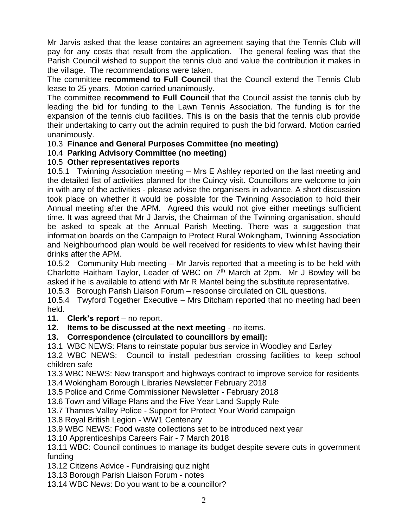Mr Jarvis asked that the lease contains an agreement saying that the Tennis Club will pay for any costs that result from the application. The general feeling was that the Parish Council wished to support the tennis club and value the contribution it makes in the village. The recommendations were taken.

The committee **recommend to Full Council** that the Council extend the Tennis Club lease to 25 years. Motion carried unanimously.

The committee **recommend to Full Council** that the Council assist the tennis club by leading the bid for funding to the Lawn Tennis Association. The funding is for the expansion of the tennis club facilities. This is on the basis that the tennis club provide their undertaking to carry out the admin required to push the bid forward. Motion carried unanimously.

## 10.3 **Finance and General Purposes Committee (no meeting)**

## 10.4 **Parking Advisory Committee (no meeting)**

### 10.5 **Other representatives reports**

10.5.1 Twinning Association meeting – Mrs E Ashley reported on the last meeting and the detailed list of activities planned for the Cuincy visit. Councillors are welcome to join in with any of the activities - please advise the organisers in advance. A short discussion took place on whether it would be possible for the Twinning Association to hold their Annual meeting after the APM. Agreed this would not give either meetings sufficient time. It was agreed that Mr J Jarvis, the Chairman of the Twinning organisation, should be asked to speak at the Annual Parish Meeting. There was a suggestion that information boards on the Campaign to Protect Rural Wokingham, Twinning Association and Neighbourhood plan would be well received for residents to view whilst having their drinks after the APM.

10.5.2 Community Hub meeting – Mr Jarvis reported that a meeting is to be held with Charlotte Haitham Taylor, Leader of WBC on  $7<sup>th</sup>$  March at 2pm. Mr J Bowley will be asked if he is available to attend with Mr R Mantel being the substitute representative.

10.5.3 Borough Parish Liaison Forum – response circulated on CIL questions.

10.5.4 Twyford Together Executive – Mrs Ditcham reported that no meeting had been held.

#### 11. **Clerk's report** – no report.

**12. Items to be discussed at the next meeting** - no items.

## **13. Correspondence (circulated to councillors by email):**

13.1 WBC NEWS: Plans to reinstate popular bus service in Woodley and Earley

13.2 WBC NEWS: Council to install pedestrian crossing facilities to keep school children safe

13.3 WBC NEWS: New transport and highways contract to improve service for residents 13.4 Wokingham Borough Libraries Newsletter February 2018

13.5 Police and Crime Commissioner Newsletter - February 2018

13.6 Town and Village Plans and the Five Year Land Supply Rule

13.7 Thames Valley Police - Support for Protect Your World campaign

13.8 Royal British Legion - WW1 Centenary

13.9 WBC NEWS: Food waste collections set to be introduced next year

13.10 Apprenticeships Careers Fair - 7 March 2018

13.11 WBC: Council continues to manage its budget despite severe cuts in government funding

13.12 Citizens Advice - Fundraising quiz night

13.13 Borough Parish Liaison Forum - notes

13.14 WBC News: Do you want to be a councillor?